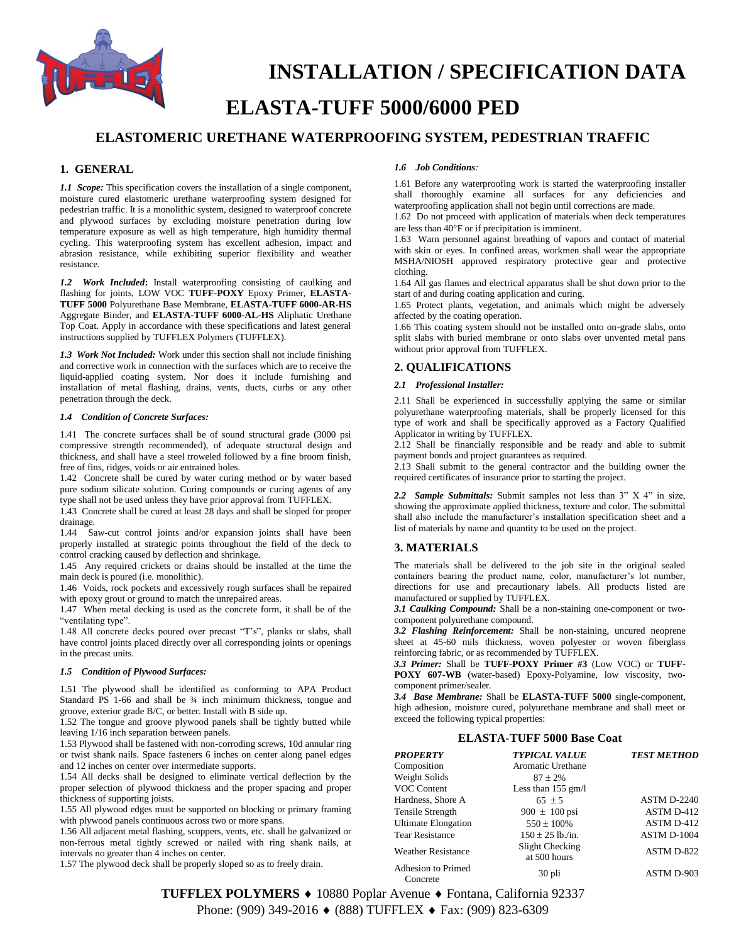

# **INSTALLATION / SPECIFICATION DATA**

## **ELASTA-TUFF 5000/6000 PED**

### **ELASTOMERIC URETHANE WATERPROOFING SYSTEM, PEDESTRIAN TRAFFIC**

#### **1. GENERAL**

*1.1 Scope:* This specification covers the installation of a single component, moisture cured elastomeric urethane waterproofing system designed for pedestrian traffic. It is a monolithic system, designed to waterproof concrete and plywood surfaces by excluding moisture penetration during low temperature exposure as well as high temperature, high humidity thermal cycling. This waterproofing system has excellent adhesion, impact and abrasion resistance, while exhibiting superior flexibility and weather resistance.

*1.2 Work Included***:** Install waterproofing consisting of caulking and flashing for joints, LOW VOC TUFF-POXY Epoxy Primer, ELASTA-**TUFF 5000** Polyurethane Base Membrane, **ELASTA-TUFF 6000-AR-HS** Aggregate Binder, and **ELASTA-TUFF 6000-AL-HS** Aliphatic Urethane Top Coat. Apply in accordance with these specifications and latest general instructions supplied by TUFFLEX Polymers (TUFFLEX).

*1.3 Work Not Included:* Work under this section shall not include finishing and corrective work in connection with the surfaces which are to receive the liquid-applied coating system. Nor does it include furnishing and installation of metal flashing, drains, vents, ducts, curbs or any other penetration through the deck.

#### *1.4 Condition of Concrete Surfaces:*

1.41 The concrete surfaces shall be of sound structural grade (3000 psi compressive strength recommended), of adequate structural design and thickness, and shall have a steel troweled followed by a fine broom finish, free of fins, ridges, voids or air entrained holes.

1.42 Concrete shall be cured by water curing method or by water based pure sodium silicate solution. Curing compounds or curing agents of any type shall not be used unless they have prior approval from TUFFLEX.

1.43 Concrete shall be cured at least 28 days and shall be sloped for proper drainage.

1.44 Saw-cut control joints and/or expansion joints shall have been properly installed at strategic points throughout the field of the deck to control cracking caused by deflection and shrinkage.

1.45 Any required crickets or drains should be installed at the time the main deck is poured (i.e. monolithic).

1.46 Voids, rock pockets and excessively rough surfaces shall be repaired with epoxy grout or ground to match the unrepaired areas.

1.47 When metal decking is used as the concrete form, it shall be of the "ventilating type".

1.48 All concrete decks poured over precast "T's", planks or slabs, shall have control joints placed directly over all corresponding joints or openings in the precast units.

#### *1.5 Condition of Plywood Surfaces:*

1.51 The plywood shall be identified as conforming to APA Product Standard PS 1-66 and shall be  $\frac{3}{4}$  inch minimum thickness, tongue and groove, exterior grade B/C, or better. Install with B side up.

1.52 The tongue and groove plywood panels shall be tightly butted while leaving 1/16 inch separation between panels.

1.53 Plywood shall be fastened with non-corroding screws, 10d annular ring or twist shank nails. Space fasteners 6 inches on center along panel edges and 12 inches on center over intermediate supports.

1.54 All decks shall be designed to eliminate vertical deflection by the proper selection of plywood thickness and the proper spacing and proper thickness of supporting joists.

1.55 All plywood edges must be supported on blocking or primary framing with plywood panels continuous across two or more spans.

1.56 All adjacent metal flashing, scuppers, vents, etc. shall be galvanized or non-ferrous metal tightly screwed or nailed with ring shank nails, at intervals no greater than 4 inches on center.

1.57 The plywood deck shall be properly sloped so as to freely drain.

#### *1.6 Job Conditions:*

1.61 Before any waterproofing work is started the waterproofing installer shall thoroughly examine all surfaces for any deficiencies and waterproofing application shall not begin until corrections are made.

1.62 Do not proceed with application of materials when deck temperatures are less than 40°F or if precipitation is imminent.

1.63 Warn personnel against breathing of vapors and contact of material with skin or eyes. In confined areas, workmen shall wear the appropriate MSHA/NIOSH approved respiratory protective gear and protective clothing.

1.64 All gas flames and electrical apparatus shall be shut down prior to the start of and during coating application and curing.

1.65 Protect plants, vegetation, and animals which might be adversely affected by the coating operation.

1.66 This coating system should not be installed onto on-grade slabs, onto split slabs with buried membrane or onto slabs over unvented metal pans without prior approval from TUFFLEX.

#### **2. QUALIFICATIONS**

#### *2.1 Professional Installer:*

2.11 Shall be experienced in successfully applying the same or similar polyurethane waterproofing materials, shall be properly licensed for this type of work and shall be specifically approved as a Factory Qualified Applicator in writing by TUFFLEX.

2.12 Shall be financially responsible and be ready and able to submit payment bonds and project guarantees as required.

2.13 Shall submit to the general contractor and the building owner the required certificates of insurance prior to starting the project.

*2.2**Sample Submittals:* Submit samples not less than 3" X 4" in size, showing the approximate applied thickness, texture and color. The submittal shall also include the manufacturer's installation specification sheet and a list of materials by name and quantity to be used on the project.

#### **3. MATERIALS**

The materials shall be delivered to the job site in the original sealed containers bearing the product name, color, manufacturer's lot number, directions for use and precautionary labels. All products listed are manufactured or supplied by TUFFLEX.

*3.1 Caulking Compound:* Shall be a non-staining one-component or twocomponent polyurethane compound.

*3.2 Flashing Reinforcement:* Shall be non-staining, uncured neoprene sheet at 45-60 mils thickness, woven polyester or woven fiberglass reinforcing fabric, or as recommended by TUFFLEX.

*3.3 Primer:* Shall be **TUFF-POXY Primer #3** (Low VOC) or **TUFF-POXY 607-WB** (water-based) Epoxy-Polyamine, low viscosity, twocomponent primer/sealer.

*3.4 Base Membrane:* Shall be **ELASTA-TUFF 5000** single-component, high adhesion, moisture cured, polyurethane membrane and shall meet or exceed the following typical properties:

#### **ELASTA-TUFF 5000 Base Coat**

| <b>PROPERTY</b>                | <b>TYPICAL VALUE</b>            | <b>TEST METHOD</b> |
|--------------------------------|---------------------------------|--------------------|
| Composition                    | Aromatic Urethane               |                    |
| Weight Solids                  | $87 \pm 2\%$                    |                    |
| VOC Content                    | Less than $155$ gm/l            |                    |
| Hardness, Shore A              | 65 $\pm$ 5                      | <b>ASTM D-2240</b> |
| Tensile Strength               | 900 $\pm$ 100 psi               | ASTM D-412         |
| <b>Ultimate Elongation</b>     | $550 \pm 100\%$                 | ASTM D-412         |
| <b>Tear Resistance</b>         | $150 \pm 25$ lb./in.            | ASTM D-1004        |
| <b>Weather Resistance</b>      | Slight Checking<br>at 500 hours | ASTM D-822         |
| Adhesion to Primed<br>Concrete | 30 pli                          | ASTM D-903         |

**TUFFLEX POLYMERS ♦** 10880 Poplar Avenue ♦ Fontana, California 92337 Phone: (909) 349-2016 ♦ (888) TUFFLEX ♦ Fax: (909) 823-6309